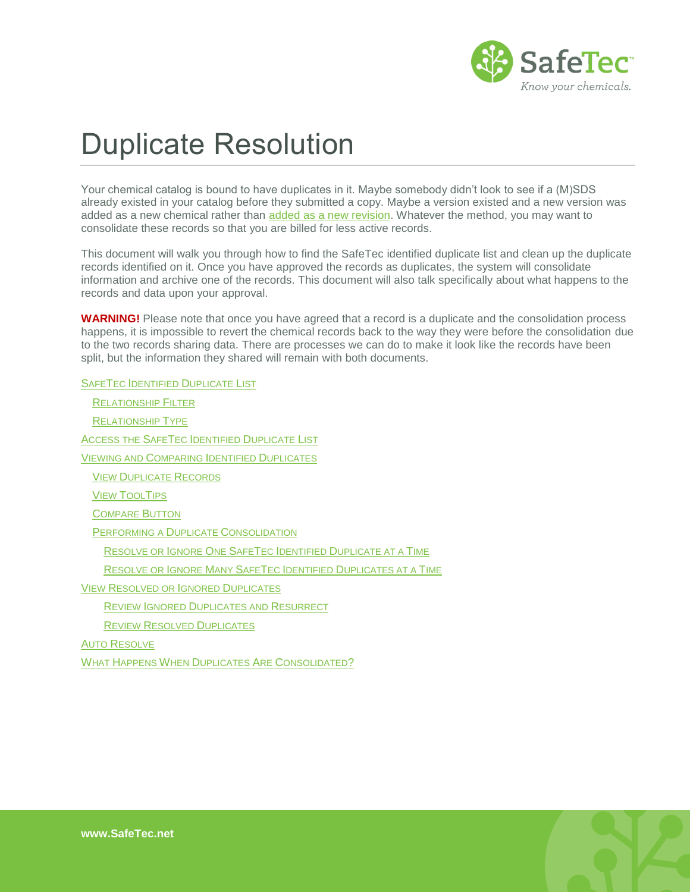

# Duplicate Resolution

Your chemical catalog is bound to have duplicates in it. Maybe somebody didn't look to see if a (M)SDS already existed in your catalog before they submitted a copy. Maybe a version existed and a new version was added as a new chemical rather than [added as a new revision.](http://www.safetec.net/wp-content/uploads/2014/08/help-submit-new-revision-of-a-sds.pdf) Whatever the method, you may want to consolidate these records so that you are billed for less active records.

This document will walk you through how to find the SafeTec identified duplicate list and clean up the duplicate records identified on it. Once you have approved the records as duplicates, the system will consolidate information and archive one of the records. This document will also talk specifically about what happens to the records and data upon your approval.

**WARNING!** Please note that once you have agreed that a record is a duplicate and the consolidation process happens, it is impossible to revert the chemical records back to the way they were before the consolidation due to the two records sharing data. There are processes we can do to make it look like the records have been split, but the information they shared will remain with both documents.

SAFETEC I[DENTIFIED](#page-0-0) DUPLICATE LIST

<span id="page-0-0"></span>

| <b>RELATIONSHIP FILTER</b>                                     |
|----------------------------------------------------------------|
| <b>RELATIONSHIP TYPE</b>                                       |
| ACCESS THE SAFETEC IDENTIFIED DUPLICATE LIST                   |
| VIEWING AND COMPARING IDENTIFIED DUPLICATES                    |
| <b>VIEW DUPLICATE RECORDS</b>                                  |
| <b>VIEW TOOLTIPS</b>                                           |
| <b>COMPARE BUTTON</b>                                          |
| PERFORMING A DUPLICATE CONSOLIDATION                           |
| RESOLVE OR IGNORE ONE SAFETEC IDENTIFIED DUPLICATE AT A TIME   |
| RESOLVE OR IGNORE MANY SAFETEC IDENTIFIED DUPLICATES AT A TIME |
| VIEW RESOLVED OR IGNORED DUPLICATES                            |
| REVIEW IGNORED DUPLICATES AND RESURRECT                        |
| <b>REVIEW RESOLVED DUPLICATES</b>                              |
| Auto Resolve                                                   |
| WHAT HAPPENS WHEN DUPLICATES ARE CONSOLIDATED?                 |
|                                                                |

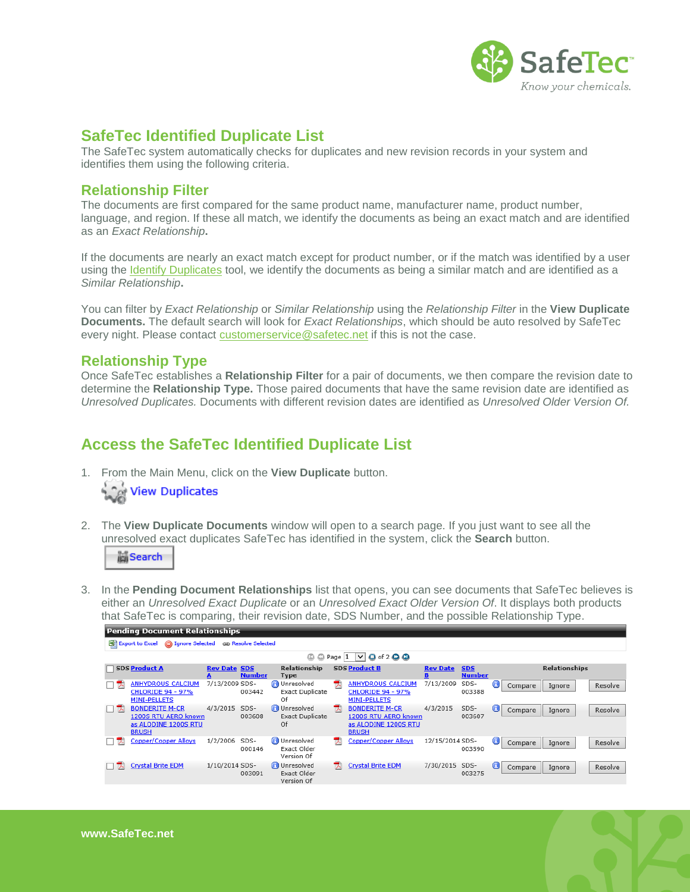

## **SafeTec Identified Duplicate List**

The SafeTec system automatically checks for duplicates and new revision records in your system and identifies them using the following criteria.

#### <span id="page-1-0"></span>**Relationship Filter**

The documents are first compared for the same product name, manufacturer name, product number, language, and region. If these all match, we identify the documents as being an exact match and are identified as an *Exact Relationship***.** 

If the documents are nearly an exact match except for product number, or if the match was identified by a user using the [Identify Duplicates](http://www.safetec.net/wp-content/uploads/2014/08/help-identify-and-consolidate-duplicates.pdf) tool, we identify the documents as being a similar match and are identified as a *Similar Relationship***.** 

You can filter by *Exact Relationship* or *Similar Relationship* using the *Relationship Filter* in the **View Duplicate Documents.** The default search will look for *Exact Relationships*, which should be auto resolved by SafeTec every night. Please contact [customerservice@safetec.net](mailto:customerservice@safetec.net) if this is not the case.

### <span id="page-1-1"></span>**Relationship Type**

Once SafeTec establishes a **Relationship Filter** for a pair of documents, we then compare the revision date to determine the **Relationship Type.** Those paired documents that have the same revision date are identified as *Unresolved Duplicates.* Documents with different revision dates are identified as *Unresolved Older Version Of.* 

# <span id="page-1-2"></span>**Access the SafeTec Identified Duplicate List**

1. From the Main Menu, click on the **View Duplicate** button.



2. The **View Duplicate Documents** window will open to a search page. If you just want to see all the unresolved exact duplicates SafeTec has identified in the system, click the **Search** button.

search

3. In the **Pending Document Relationships** list that opens, you can see documents that SafeTec believes is either an *Unresolved Exact Duplicate* or an *Unresolved Exact Older Version Of*. It displays both products that SafeTec is comparing, their revision date, SDS Number, and the possible Relationship Type.

|      | Pending Document Relationships                                                        |                     |                |                                                     |   |                                                                                       |                      |                             |                  |         |                      |  |         |
|------|---------------------------------------------------------------------------------------|---------------------|----------------|-----------------------------------------------------|---|---------------------------------------------------------------------------------------|----------------------|-----------------------------|------------------|---------|----------------------|--|---------|
|      | <b>G</b> Ignore Selected<br>ca Resolve Selected<br>图 Export to Excel                  |                     |                |                                                     |   |                                                                                       |                      |                             |                  |         |                      |  |         |
|      | $V$ O of 2 $Q$ $Q$<br>۵<br>$\bigcirc$ Page  1                                         |                     |                |                                                     |   |                                                                                       |                      |                             |                  |         |                      |  |         |
|      | <b>SDS Product A</b>                                                                  | <b>Rev Date SDS</b> | <b>Number</b>  | <b>Relationship</b><br><b>Type</b>                  |   | <b>SDS Product B</b>                                                                  | <b>Rev Date</b><br>в | <b>SDS</b><br><b>Number</b> |                  |         | <b>Relationships</b> |  |         |
| - 74 | <b>ANHYDROUS CALCIUM</b><br><b>CHLORIDE 94 - 97%</b><br><b>MINI-PELLETS</b>           | 7/13/2009 SDS-      | 003442         | <b>O</b> Unresolved<br><b>Exact Duplicate</b><br>Of | 큣 | <b>ANHYDROUS CALCIUM</b><br><b>CHLORIDE 94 - 97%</b><br><b>MINI-PELLETS</b>           | 7/13/2009            | SDS-<br>003388              | $\mathbf \Theta$ | Compare | Ignore               |  | Resolve |
| 口头   | <b>BONDERITE M-CR</b><br>1200S RTU AERO known<br>as ALODINE 1200S RTU<br><b>BRUSH</b> | 4/3/2015            | SDS-<br>003608 | Unresolved<br><b>Exact Duplicate</b><br>Of          | ᆽ | <b>BONDERITE M-CR</b><br>1200S RTU AERO known<br>as ALODINE 1200S RTU<br><b>BRUSH</b> | 4/3/2015             | SDS-<br>003607              | ◉                | Compare | Ignore               |  | Resolve |
| 쿿    | <b>Copper/Copper Alloys</b>                                                           | 1/2/2006            | SDS-<br>000146 | Unresolved<br>Exact Older<br>Version Of             | 쿿 | <b>Copper/Copper Alloys</b>                                                           | 12/15/2014 SDS-      | 003590                      | 0                | Compare | Ignore               |  | Resolve |
|      | <b>Crystal Brite EDM</b>                                                              | 1/10/2014 SDS-      | 003091         | <b>Unresolved</b><br>Exact Older<br>Version Of      | 퀏 | <b>Crystal Brite EDM</b>                                                              | 7/30/2015            | SDS-<br>003275              | 0                | Compare | Ignore               |  | Resolve |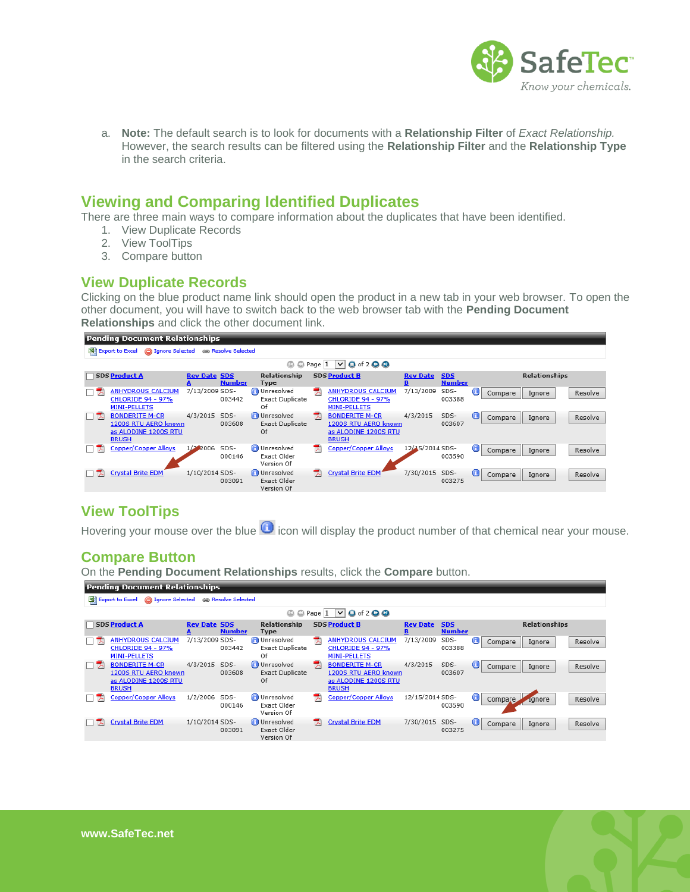

a. **Note:** The default search is to look for documents with a **Relationship Filter** of *Exact Relationship.* However, the search results can be filtered using the **Relationship Filter** and the **Relationship Type**  in the search criteria.

## <span id="page-2-0"></span>**Viewing and Comparing Identified Duplicates**

There are three main ways to compare information about the duplicates that have been identified.

- 1. View Duplicate Records
- 2. View ToolTips
- 3. Compare button

#### <span id="page-2-1"></span>**View Duplicate Records**

Clicking on the blue product name link should open the product in a new tab in your web browser. To open the other document, you will have to switch back to the web browser tab with the **Pending Document Relationships** and click the other document link.



## <span id="page-2-2"></span>**View ToolTips**

Hovering your mouse over the blue  $\bigcirc$  icon will display the product number of that chemical near your mouse.

#### <span id="page-2-3"></span>**Compare Button**

On the **Pending Document Relationships** results, click the **Compare** button.

|     | <b>Pending Document Relationships</b>                                                 |                     |                     |                                                     |   |                                                                                       |                 |                             |                  |         |                      |         |
|-----|---------------------------------------------------------------------------------------|---------------------|---------------------|-----------------------------------------------------|---|---------------------------------------------------------------------------------------|-----------------|-----------------------------|------------------|---------|----------------------|---------|
|     | <b>Selected</b><br>Export to Excel                                                    |                     | ca Resolve Selected |                                                     |   |                                                                                       |                 |                             |                  |         |                      |         |
|     |                                                                                       |                     |                     | $\bigcirc$ Page $\vert$ 1<br>۵                      |   | $Q$ of 2 $Q$ $Q$<br>$\vee$                                                            |                 |                             |                  |         |                      |         |
|     | <b>SDS Product A</b>                                                                  | <b>Rev Date SDS</b> | <b>Number</b>       | Relationship<br><b>Type</b>                         |   | <b>SDS Product B</b>                                                                  | <b>Rev Date</b> | <b>SDS</b><br><b>Number</b> |                  |         | <b>Relationships</b> |         |
| □ プ | <b>ANHYDROUS CALCIUM</b><br><b>CHLORIDE 94 - 97%</b><br><b>MINI-PELLETS</b>           | 7/13/2009 SDS-      | 003442              | <b>O</b> Unresolved<br><b>Exact Duplicate</b><br>Of | 쿿 | <b>ANHYDROUS CALCIUM</b><br><b>CHLORIDE 94 - 97%</b><br><b>MINI-PELLETS</b>           | 7/13/2009       | SDS-<br>003388              | Θ                | Compare | Ignore               | Resolve |
| 口头  | <b>BONDERITE M-CR</b><br>1200S RTU AERO known<br>as ALODINE 1200S RTU<br><b>BRUSH</b> | 4/3/2015            | SDS-<br>003608      | Unresolved<br><b>Exact Duplicate</b><br>Of          | ᆽ | <b>BONDERITE M-CR</b><br>1200S RTU AERO known<br>as ALODINE 1200S RTU<br><b>BRUSH</b> | 4/3/2015        | SDS-<br>003607              | 0                | Compare | Ignore               | Resolve |
|     | <b>Copper/Copper Alloys</b>                                                           | 1/2/2006            | SDS-<br>000146      | Unresolved<br>Exact Older<br>Version Of             | 륁 | <b>Copper/Copper Alloys</b>                                                           | 12/15/2014 SDS- | 003590                      | 0                | Compare | <b>Agnore</b>        | Resolve |
|     | <b>Crystal Brite EDM</b>                                                              | 1/10/2014 SDS-      | 003091              | Unresolved<br>Exact Older<br>Version Of             | 쿿 | <b>Crystal Brite EDM</b>                                                              | 7/30/2015       | SDS-<br>003275              | $\mathbf \Theta$ | Compare | Ignore               | Resolve |

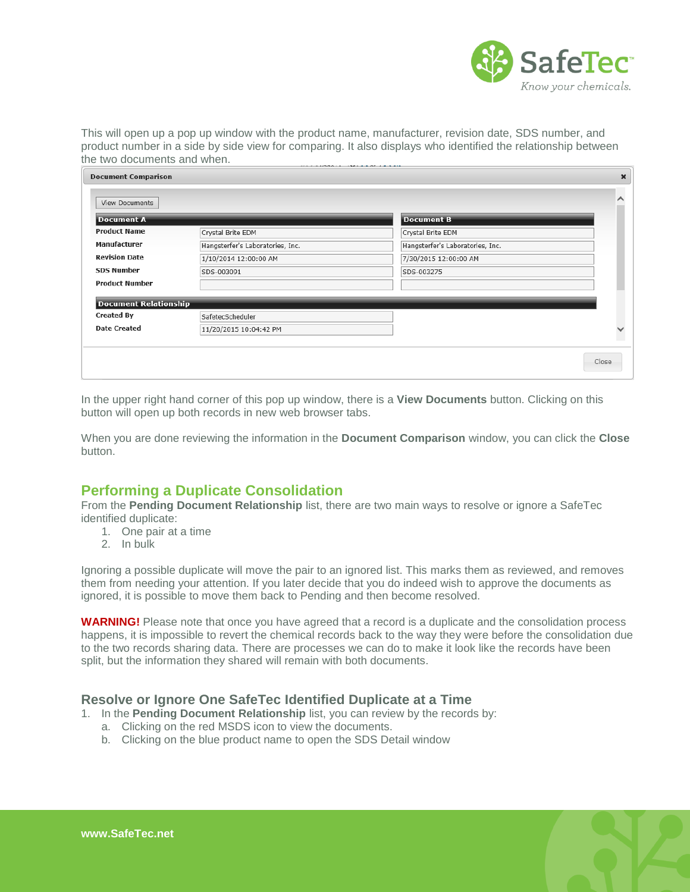

This will open up a pop up window with the product name, manufacturer, revision date, SDS number, and product number in a side by side view for comparing. It also displays who identified the relationship between the two documents and when.

| <b>Document Comparison</b>   |                                  |                                  | $\boldsymbol{\times}$ |
|------------------------------|----------------------------------|----------------------------------|-----------------------|
| View Documents               |                                  |                                  | ∧                     |
| <b>Document A</b>            |                                  | <b>Document B</b>                |                       |
| <b>Product Name</b>          | Crystal Brite EDM                | Crystal Brite EDM                |                       |
| Manufacturer                 | Hangsterfer's Laboratories, Inc. | Hangsterfer's Laboratories, Inc. |                       |
| <b>Revision Date</b>         | 1/10/2014 12:00:00 AM            | 7/30/2015 12:00:00 AM            |                       |
| <b>SDS Number</b>            | SDS-003091                       | SDS-003275                       |                       |
| <b>Product Number</b>        |                                  |                                  |                       |
| <b>Document Relationship</b> |                                  |                                  |                       |
| <b>Created By</b>            | SafetecScheduler                 |                                  |                       |
| <b>Date Created</b>          | 11/20/2015 10:04:42 PM           |                                  | $\checkmark$          |
|                              |                                  |                                  |                       |
|                              |                                  |                                  | Close                 |

In the upper right hand corner of this pop up window, there is a **View Documents** button. Clicking on this button will open up both records in new web browser tabs.

When you are done reviewing the information in the **Document Comparison** window, you can click the **Close**  button.

## <span id="page-3-0"></span>**Performing a Duplicate Consolidation**

From the **Pending Document Relationship** list, there are two main ways to resolve or ignore a SafeTec identified duplicate:

- 1. One pair at a time
- 2. In bulk

Ignoring a possible duplicate will move the pair to an ignored list. This marks them as reviewed, and removes them from needing your attention. If you later decide that you do indeed wish to approve the documents as ignored, it is possible to move them back to Pending and then become resolved.

**WARNING!** Please note that once you have agreed that a record is a duplicate and the consolidation process happens, it is impossible to revert the chemical records back to the way they were before the consolidation due to the two records sharing data. There are processes we can do to make it look like the records have been split, but the information they shared will remain with both documents.

#### <span id="page-3-1"></span>**Resolve or Ignore One SafeTec Identified Duplicate at a Time**

1. In the **Pending Document Relationship** list, you can review by the records by:

- a. Clicking on the red MSDS icon to view the documents.
- b. Clicking on the blue product name to open the SDS Detail window

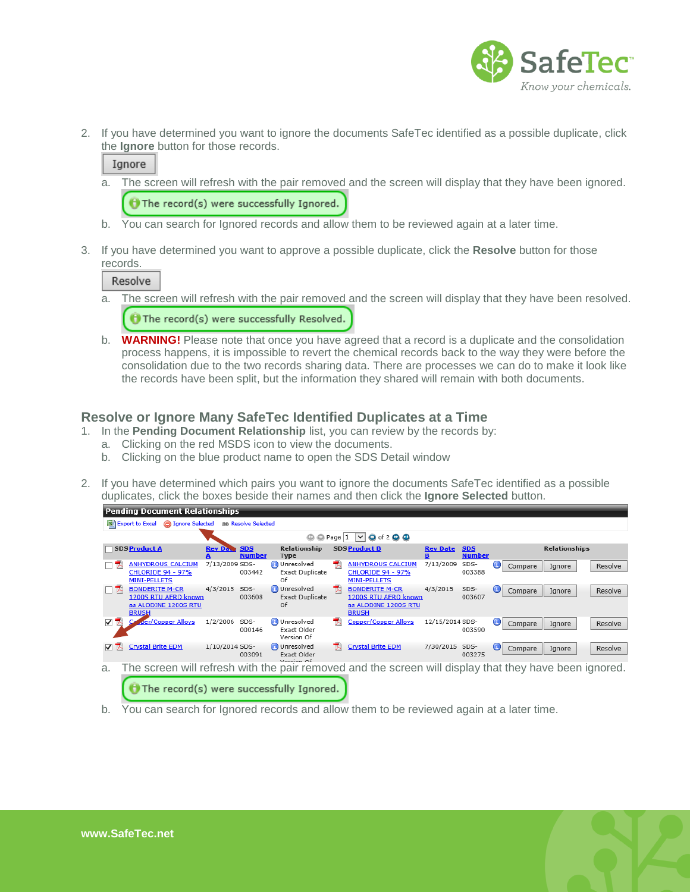

2. If you have determined you want to ignore the documents SafeTec identified as a possible duplicate, click the **Ignore** button for those records.

#### Ignore

- a. The screen will refresh with the pair removed and the screen will display that they have been ignored. The record(s) were successfully Ignored.
- b. You can search for Ignored records and allow them to be reviewed again at a later time.
- 3. If you have determined you want to approve a possible duplicate, click the **Resolve** button for those records.

Resolve

- a. The screen will refresh with the pair removed and the screen will display that they have been resolved.  $\bigoplus$  The record(s) were successfully Resolved.
- b. **WARNING!** Please note that once you have agreed that a record is a duplicate and the consolidation process happens, it is impossible to revert the chemical records back to the way they were before the consolidation due to the two records sharing data. There are processes we can do to make it look like the records have been split, but the information they shared will remain with both documents.

#### <span id="page-4-0"></span>**Resolve or Ignore Many SafeTec Identified Duplicates at a Time**

- 1. In the **Pending Document Relationship** list, you can review by the records by:
	- a. Clicking on the red MSDS icon to view the documents.
	- b. Clicking on the blue product name to open the SDS Detail window
- 2. If you have determined which pairs you want to ignore the documents SafeTec identified as a possible duplicates, click the boxes beside their names and then click the **Ignore Selected** button.



b. You can search for Ignored records and allow them to be reviewed again at a later time.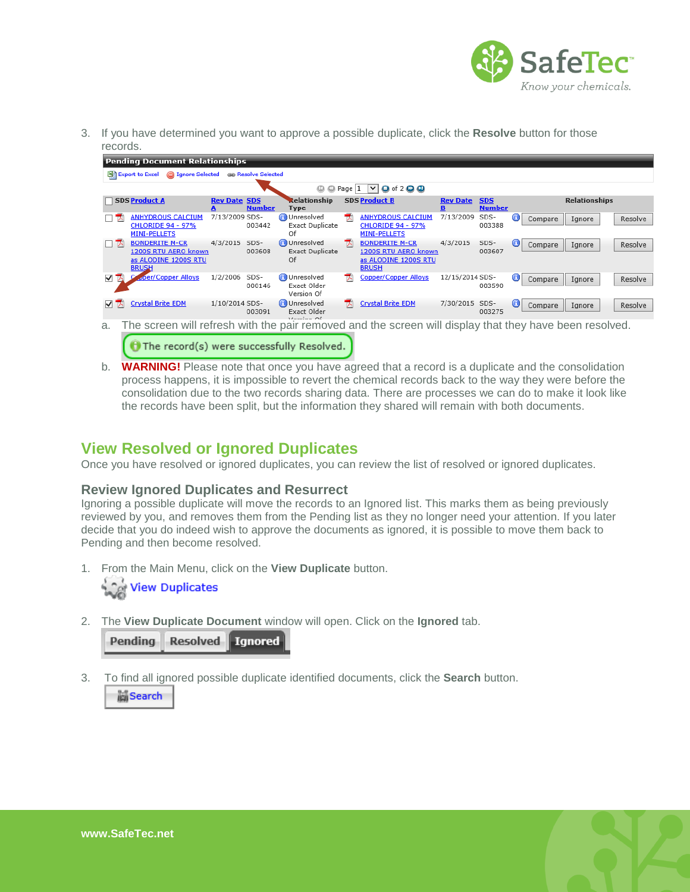

3. If you have determined you want to approve a possible duplicate, click the **Resolve** button for those records.

|        | <b>Pending Document Relationships</b>                                                 |                     |                |                                                     |   |                                                                                       |                 |                             |   |                                                                                                         |         |  |
|--------|---------------------------------------------------------------------------------------|---------------------|----------------|-----------------------------------------------------|---|---------------------------------------------------------------------------------------|-----------------|-----------------------------|---|---------------------------------------------------------------------------------------------------------|---------|--|
|        | 1gnore Selected (38) Resolve Selected<br>图 Export to Excel                            |                     |                |                                                     |   |                                                                                       |                 |                             |   |                                                                                                         |         |  |
|        |                                                                                       |                     |                | $\circledcirc$ $\circledcirc$ Page $\vert$ 1        |   | $\triangledown$ <b>O</b> of 2 $\odot$ <b>O</b>                                        |                 |                             |   |                                                                                                         |         |  |
|        | <b>SDS Product A</b>                                                                  | <b>Rev Date SDS</b> | <b>Number</b>  | Relationship<br><b>Type</b>                         |   | <b>SDS Product B</b>                                                                  | <b>Rev Date</b> | <b>SDS</b><br><b>Number</b> |   | <b>Relationships</b>                                                                                    |         |  |
| □ プ    | <b>ANHYDROUS CALCIUM</b><br><b>CHLORIDE 94 - 97%</b><br><b>MINI-PELLETS</b>           | 7/13/2009 SDS-      | 003442         | <b>C</b> Unresolved<br><b>Exact Duplicate</b><br>Of | 퀏 | <b>ANHYDROUS CALCIUM</b><br><b>CHLORIDE 94 - 97%</b><br><b>MINI-PELLETS</b>           | 7/13/2009       | SDS-<br>003388              | 0 | Compare<br>Ignore                                                                                       | Resolve |  |
| 口头     | <b>BONDERITE M-CR</b><br>1200S RTU AERO known<br>as ALODINE 1200S RTU<br><b>BRUSH</b> | 4/3/2015            | SDS-<br>003608 | <b>C</b> Unresolved<br><b>Exact Duplicate</b><br>Of | ᆺ | <b>BONDERITE M-CR</b><br>1200S RTU AERO known<br>as ALODINE 1200S RTU<br><b>BRUSH</b> | 4/3/2015        | SDS-<br>003607              | 0 | Compare<br>Ignore                                                                                       | Resolve |  |
| ▽<br>W | per/Copper Alloys                                                                     | 1/2/2006            | SDS-<br>000146 | Unresolved<br>Exact Older<br>Version Of             | ᆺ | <b>Copper/Copper Alloys</b>                                                           | 12/15/2014 SDS- | 003590                      | ⊕ | Compare<br>Ignore                                                                                       | Resolve |  |
| ▿ਨ     | <b>Crystal Brite EDM</b>                                                              | 1/10/2014 SDS-      | 003091         | <b>O</b> Unresolved<br>Exact Older<br>Mornion Of    | 귕 | <b>Crystal Brite EDM</b>                                                              | 7/30/2015 SDS-  | 003275                      | 0 | Compare<br>Ignore                                                                                       | Resolve |  |
| a.     |                                                                                       |                     |                |                                                     |   |                                                                                       |                 |                             |   | The screen will refresh with the pair removed and the screen will display that they have been resolved. |         |  |

 $\Theta$  The record(s) were successfully Resolved.

b. **WARNING!** Please note that once you have agreed that a record is a duplicate and the consolidation process happens, it is impossible to revert the chemical records back to the way they were before the consolidation due to the two records sharing data. There are processes we can do to make it look like the records have been split, but the information they shared will remain with both documents.

## <span id="page-5-0"></span>**View Resolved or Ignored Duplicates**

Once you have resolved or ignored duplicates, you can review the list of resolved or ignored duplicates.

#### <span id="page-5-1"></span>**Review Ignored Duplicates and Resurrect**

Ignoring a possible duplicate will move the records to an Ignored list. This marks them as being previously reviewed by you, and removes them from the Pending list as they no longer need your attention. If you later decide that you do indeed wish to approve the documents as ignored, it is possible to move them back to Pending and then become resolved.

1. From the Main Menu, click on the **View Duplicate** button.

View Duplicates

2. The **View Duplicate Document** window will open. Click on the **Ignored** tab.

|  | Pending Resolved Ignored |  |
|--|--------------------------|--|
|--|--------------------------|--|

3. To find all ignored possible duplicate identified documents, click the **Search** button.

**Search**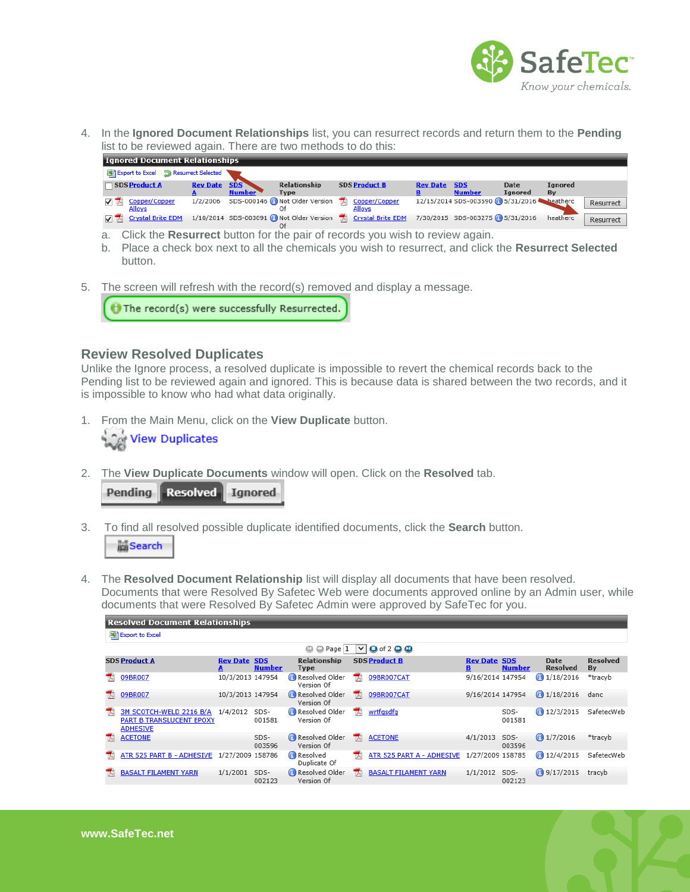

4. In the **Ignored Document Relationships** list, you can resurrect records and return them to the **Pending**  list to be reviewed again. There are two methods to do this:

| <b>Ignored Document Relationships</b>       |                     |               |                             |                                                                                             |                 |                                          |                        |               |           |  |
|---------------------------------------------|---------------------|---------------|-----------------------------|---------------------------------------------------------------------------------------------|-----------------|------------------------------------------|------------------------|---------------|-----------|--|
| Export to Excel <b>D</b> Resurrect Selected |                     |               |                             |                                                                                             |                 |                                          |                        |               |           |  |
| SDS Product A                               | <b>Rev Date SDS</b> | <b>Number</b> | Relationship<br><b>Type</b> | <b>SDS Product B</b>                                                                        | <b>Rev Date</b> | <b>SDS</b><br><b>Number</b>              | Date<br><b>Ignored</b> | Ignored<br>Bv |           |  |
| Copper/Copper<br><b>Alloys</b>              | 1/2/2006            |               |                             | SDS-000146 Not Older Version TA Copper/Copper<br><b>Alloys</b>                              |                 | 12/15/2014 SDS-003590 3/31/2016 beatherc |                        |               | Resurrect |  |
| $\nabla$ $\nabla$ Crystal Brite EDM         |                     |               |                             | 1/10/2014 SDS-003091 (Not Older Version (Crystal Brite EDM 7/30/2015 SDS-003275 (35/31/2016 |                 |                                          |                        | heatherc      | Resurrect |  |

- a. Click the **Resurrect** button for the pair of records you wish to review again.
- b. Place a check box next to all the chemicals you wish to resurrect, and click the **Resurrect Selected**  button.
- 5. The screen will refresh with the record(s) removed and display a message.

The record(s) were successfully Resurrected.

#### <span id="page-6-0"></span>**Review Resolved Duplicates**

Unlike the Ignore process, a resolved duplicate is impossible to revert the chemical records back to the Pending list to be reviewed again and ignored. This is because data is shared between the two records, and it is impossible to know who had what data originally.

1. From the Main Menu, click on the **View Duplicate** button.



2. The **View Duplicate Documents** window will open. Click on the **Resolved** tab.

|  | Pending Resolved Ignored |  |
|--|--------------------------|--|
|--|--------------------------|--|

**Resolved Document Relationships** 

3. To find all resolved possible duplicate identified documents, click the **Search** button.

Search

4. The **Resolved Document Relationship** list will display all documents that have been resolved. Documents that were Resolved By Safetec Web were documents approved online by an Admin user, while documents that were Resolved By Safetec Admin were approved by SafeTec for you.

| 图 Export to Excel                                                      |                                                                           |                |                              |    |                             |                  |                             |                                |                       |  |  |
|------------------------------------------------------------------------|---------------------------------------------------------------------------|----------------|------------------------------|----|-----------------------------|------------------|-----------------------------|--------------------------------|-----------------------|--|--|
|                                                                        | $\bigcirc$ Page $\big 1\big $<br>$Q$ of 2 $Q$ $Q$<br>$^{\circ}$<br>$\vee$ |                |                              |    |                             |                  |                             |                                |                       |  |  |
| <b>SDS Product A</b>                                                   | <b>Rev Date SDS</b>                                                       | <b>Number</b>  | Relationship<br><b>Type</b>  |    | <b>SDS Product B</b>        | <b>Rev Date</b>  | <b>SDS</b><br><b>Number</b> | <b>Date</b><br><b>Resolved</b> | <b>Resolved</b><br>By |  |  |
| 09BR007                                                                | 10/3/2013 147954                                                          |                | Resolved Older<br>Version Of | ᇼ  | 09BR007CAT                  | 9/16/2014 147954 |                             | 1/18/2016                      | *tracyb               |  |  |
| 09BR007<br>ᇼ.                                                          | 10/3/2013 147954                                                          |                | Resolved Older<br>Version Of | ᆽ  | 09BR007CAT                  | 9/16/2014 147954 |                             | $\bigodot$ 1/18/2016           | danc                  |  |  |
| 3M SCOTCH-WELD 2216 B/A<br>PART B TRANSLUCENT EPOXY<br><b>ADHESIVE</b> | 1/4/2012                                                                  | SDS-<br>001581 | Resolved Older<br>Version Of | T. | wrtfgsdfg                   |                  | SDS-<br>001581              | 12/3/2015                      | SafetecWeb            |  |  |
| <b>ACETONE</b>                                                         |                                                                           | SDS-<br>003596 | Resolved Older<br>Version Of | T. | <b>ACETONE</b>              | 4/1/2013         | SDS-<br>003596              | $\bigcap$ 1/7/2016             | *tracyb               |  |  |
| ATR 525 PART B - ADHESIVE                                              | 1/27/2009 158786                                                          |                | Resolved<br>Duplicate Of     | T. | ATR 525 PART A - ADHESIVE   | 1/27/2009 158785 |                             | $\bigcap_{12/4/2015}$          | SafetecWeb            |  |  |
| <b>BASALT FILAMENT YARN</b>                                            | 1/1/2001                                                                  | SDS-<br>002123 | Resolved Older<br>Version Of | ᄀ  | <b>BASALT FILAMENT YARN</b> | 1/1/2012         | SDS-<br>002123              | <b>3/17/2015</b>               | tracyb                |  |  |